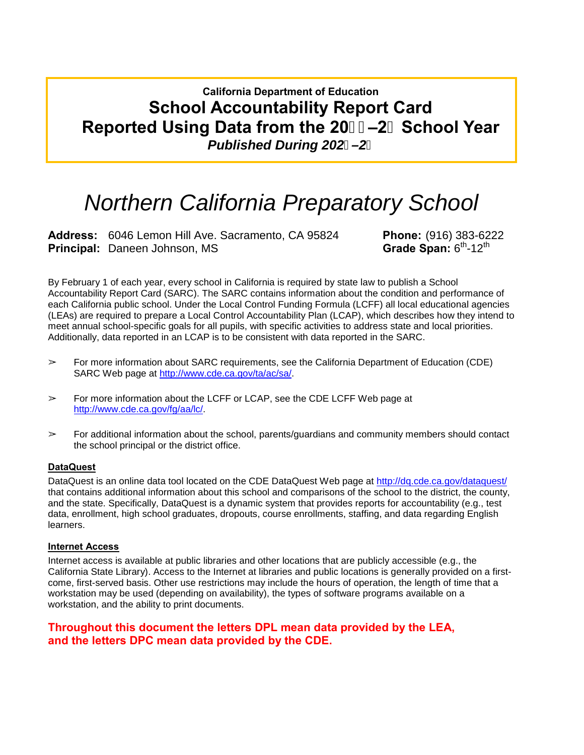# **California Department of Education School Accountability Report Card Reported Using Data from the 20&\$-2%School Year** *Published During 202–2*

# *Northern California Preparatory School*

**Address:** 6046 Lemon Hill Ave. Sacramento, CA 95824 **Phone:** (916) 383-6222 **Principal: Daneen Johnson, MS** 

By February 1 of each year, every school in California is required by state law to publish a School Accountability Report Card (SARC). The SARC contains information about the condition and performance of each California public school. Under the Local Control Funding Formula (LCFF) all local educational agencies (LEAs) are required to prepare a Local Control Accountability Plan (LCAP), which describes how they intend to meet annual school-specific goals for all pupils, with specific activities to address state and local priorities. Additionally, data reported in an LCAP is to be consistent with data reported in the SARC.

- $\triangleright$  For more information about SARC requirements, see the California Department of Education (CDE) SARC Web page at [http://www.cde.ca.gov/ta/ac/sa/.](http://www.cde.ca.gov/ta/ac/sa/)
- ➢ For more information about the LCFF or LCAP, see the CDE LCFF Web page at [http://www.cde.ca.gov/fg/aa/lc/.](http://www.cde.ca.gov/fg/aa/lc/)
- $\triangleright$  For additional information about the school, parents/guardians and community members should contact the school principal or the district office.

### **DataQuest**

DataQuest is an online data tool located on the CDE DataQuest Web page at<http://dq.cde.ca.gov/dataquest/> that contains additional information about this school and comparisons of the school to the district, the county, and the state. Specifically, DataQuest is a dynamic system that provides reports for accountability (e.g., test data, enrollment, high school graduates, dropouts, course enrollments, staffing, and data regarding English learners.

#### **Internet Access**

Internet access is available at public libraries and other locations that are publicly accessible (e.g., the California State Library). Access to the Internet at libraries and public locations is generally provided on a firstcome, first-served basis. Other use restrictions may include the hours of operation, the length of time that a workstation may be used (depending on availability), the types of software programs available on a workstation, and the ability to print documents.

### **Throughout this document the letters DPL mean data provided by the LEA, and the letters DPC mean data provided by the CDE.**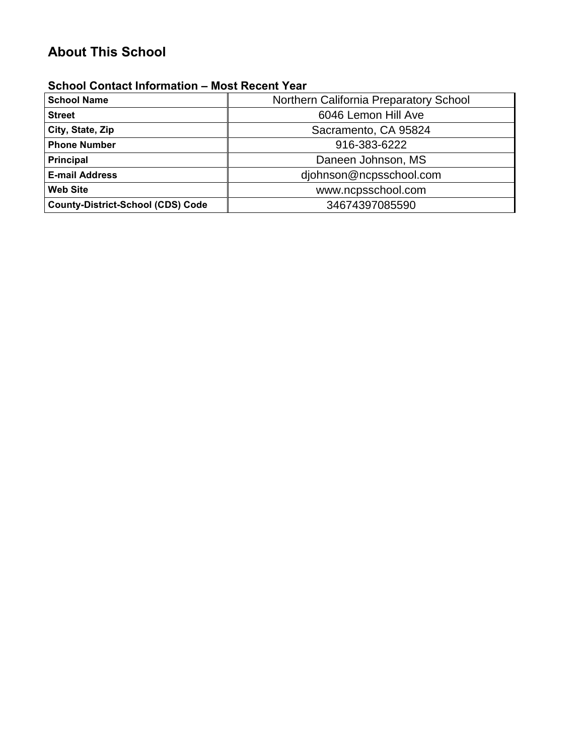# **About This School**

### **School Contact Information – Most Recent Year**

| <b>School Name</b>                       | Northern California Preparatory School |  |  |  |
|------------------------------------------|----------------------------------------|--|--|--|
| <b>Street</b>                            | 6046 Lemon Hill Ave                    |  |  |  |
| City, State, Zip                         | Sacramento, CA 95824                   |  |  |  |
| <b>Phone Number</b>                      | 916-383-6222                           |  |  |  |
| <b>Principal</b>                         | Daneen Johnson, MS                     |  |  |  |
| <b>E-mail Address</b>                    | djohnson@ncpsschool.com                |  |  |  |
| <b>Web Site</b>                          | www.ncpsschool.com                     |  |  |  |
| <b>County-District-School (CDS) Code</b> | 34674397085590                         |  |  |  |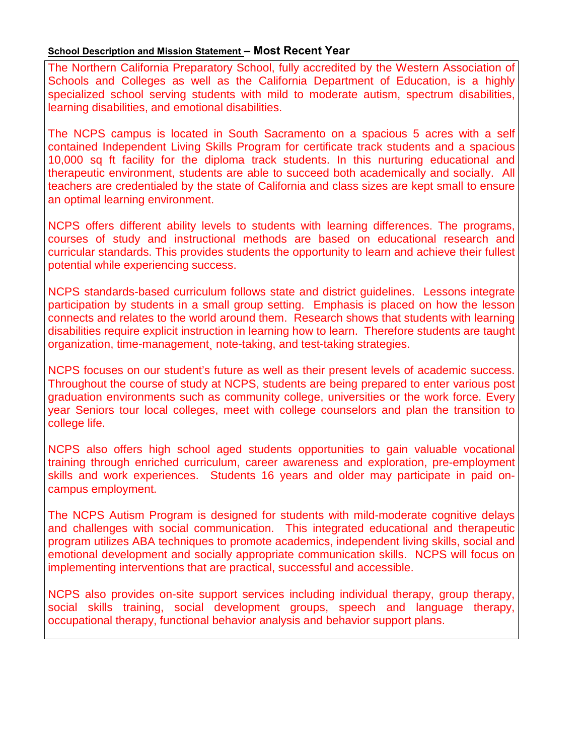### **School Description and Mission Statement – Most Recent Year**

The Northern California Preparatory School, fully accredited by the Western Association of Schools and Colleges as well as the California Department of Education, is a highly specialized school serving students with mild to moderate autism, spectrum disabilities, learning disabilities, and emotional disabilities.

The NCPS campus is located in South Sacramento on a spacious 5 acres with a self contained Independent Living Skills Program for certificate track students and a spacious 10,000 sq ft facility for the diploma track students. In this nurturing educational and therapeutic environment, students are able to succeed both academically and socially. All teachers are credentialed by the state of California and class sizes are kept small to ensure an optimal learning environment.

NCPS offers different ability levels to students with learning differences. The programs, courses of study and instructional methods are based on educational research and curricular standards. This provides students the opportunity to learn and achieve their fullest potential while experiencing success.

NCPS standards-based curriculum follows state and district guidelines. Lessons integrate participation by students in a small group setting. Emphasis is placed on how the lesson connects and relates to the world around them. Research shows that students with learning disabilities require explicit instruction in learning how to learn. Therefore students are taught organization, time-management¸ note-taking, and test-taking strategies.

NCPS focuses on our student's future as well as their present levels of academic success. Throughout the course of study at NCPS, students are being prepared to enter various post graduation environments such as community college, universities or the work force. Every year Seniors tour local colleges, meet with college counselors and plan the transition to college life.

NCPS also offers high school aged students opportunities to gain valuable vocational training through enriched curriculum, career awareness and exploration, pre-employment skills and work experiences. Students 16 years and older may participate in paid oncampus employment.

The NCPS Autism Program is designed for students with mild-moderate cognitive delays and challenges with social communication. This integrated educational and therapeutic program utilizes ABA techniques to promote academics, independent living skills, social and emotional development and socially appropriate communication skills. NCPS will focus on implementing interventions that are practical, successful and accessible.

NCPS also provides on-site support services including individual therapy, group therapy, social skills training, social development groups, speech and language therapy, occupational therapy, functional behavior analysis and behavior support plans.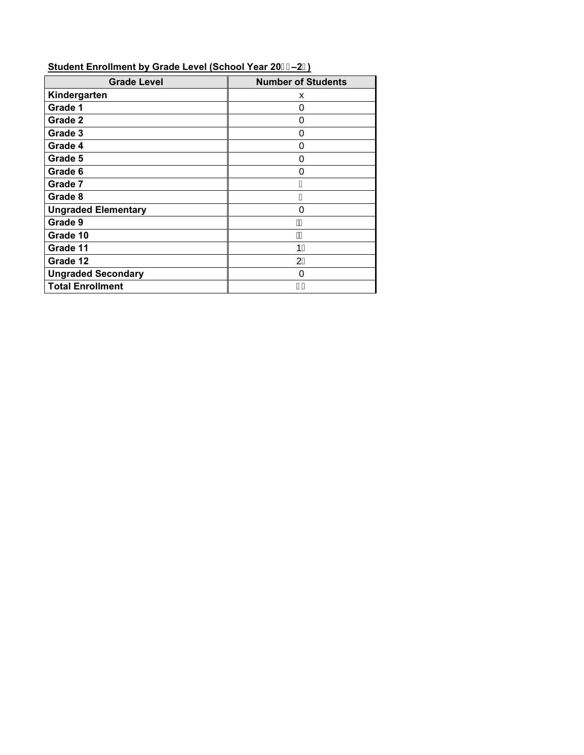| <b>Grade Level</b>         | <b>Number of Students</b> |
|----------------------------|---------------------------|
| Kindergarten               | x                         |
| Grade 1                    | 0                         |
| Grade 2                    | 0                         |
| Grade 3                    | 0                         |
| Grade 4                    | 0                         |
| Grade 5                    | 0                         |
| Grade 6                    | 0                         |
| Grade 7                    | €                         |
| Grade 8                    | G                         |
| <b>Ungraded Elementary</b> | 0                         |
| Grade 9                    | A                         |
| Grade 10                   | ÀJ                        |
| Grade 11                   | 1H                        |
| Grade 12                   | 2Ĩ                        |
| <b>Ungraded Secondary</b>  | 0                         |
| <b>Total Enrollment</b>    |                           |

### **Student Enrollment by Grade Level (School Year 20–2)**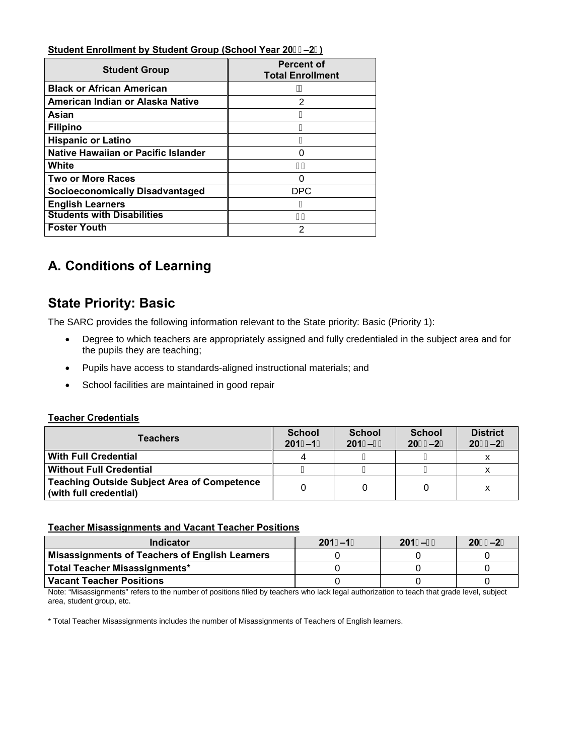### **Student Enrollment by Student Group (School Year 20–2)**

| <b>Student Group</b>                   | <b>Percent of</b><br><b>Total Enrollment</b> |
|----------------------------------------|----------------------------------------------|
| <b>Black or African American</b>       | А                                            |
| American Indian or Alaska Native       | 2                                            |
| Asian                                  | н                                            |
| <b>Filipino</b>                        | G                                            |
| <b>Hispanic or Latino</b>              | G                                            |
| Native Hawaiian or Pacific Islander    | O                                            |
| White                                  | н                                            |
| <b>Two or More Races</b>               | U                                            |
| <b>Socioeconomically Disadvantaged</b> | <b>DPC</b>                                   |
| <b>English Learners</b>                | F                                            |
| <b>Students with Disabilities</b>      |                                              |
| <b>Foster Youth</b>                    | 2                                            |

# **A. Conditions of Learning**

## **State Priority: Basic**

The SARC provides the following information relevant to the State priority: Basic (Priority 1):

- Degree to which teachers are appropriately assigned and fully credentialed in the subject area and for the pupils they are teaching;
- Pupils have access to standards-aligned instructional materials; and
- School facilities are maintained in good repair

### **Teacher Credentials**

| <b>Teachers</b>                                                              | <b>School</b><br>$201, -1$ | <b>School</b><br>$201 - -85$ | <b>School</b><br>$208$ - 2%$ | <b>District</b><br>208\$-2% |
|------------------------------------------------------------------------------|----------------------------|------------------------------|------------------------------|-----------------------------|
| <b>With Full Credential</b>                                                  |                            |                              |                              |                             |
| <b>Without Full Credential</b>                                               |                            |                              | G                            |                             |
| <b>Teaching Outside Subject Area of Competence</b><br>(with full credential) |                            |                              |                              |                             |

### **Teacher Misassignments and Vacant Teacher Positions**

| Indicator                                      | $201. -1$ | $201 - -85$ | 208\$-2% |
|------------------------------------------------|-----------|-------------|----------|
| Misassignments of Teachers of English Learners |           |             |          |
| Total Teacher Misassignments*                  |           |             |          |
| Vacant Teacher Positions                       |           |             |          |

Note: "Misassignments" refers to the number of positions filled by teachers who lack legal authorization to teach that grade level, subject area, student group, etc.

\* Total Teacher Misassignments includes the number of Misassignments of Teachers of English learners.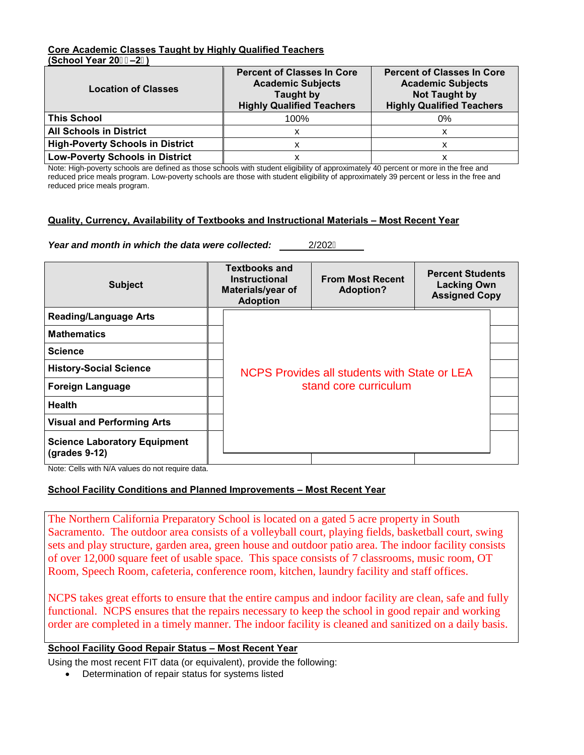### **Core Academic Classes Taught by Highly Qualified Teachers (School Year 20–2)**

| <b>Location of Classes</b>              | <b>Percent of Classes In Core</b><br><b>Academic Subjects</b><br><b>Taught by</b><br><b>Highly Qualified Teachers</b> | <b>Percent of Classes In Core</b><br><b>Academic Subjects</b><br>Not Taught by<br><b>Highly Qualified Teachers</b> |
|-----------------------------------------|-----------------------------------------------------------------------------------------------------------------------|--------------------------------------------------------------------------------------------------------------------|
| <b>This School</b>                      | 100%                                                                                                                  | 0%                                                                                                                 |
| <b>All Schools in District</b>          |                                                                                                                       |                                                                                                                    |
| <b>High-Poverty Schools in District</b> |                                                                                                                       |                                                                                                                    |
| <b>Low-Poverty Schools in District</b>  |                                                                                                                       |                                                                                                                    |

Note: High-poverty schools are defined as those schools with student eligibility of approximately 40 percent or more in the free and reduced price meals program. Low-poverty schools are those with student eligibility of approximately 39 percent or less in the free and reduced price meals program.

### **Quality, Currency, Availability of Textbooks and Instructional Materials – Most Recent Year**

*Year and month in which the data were collected:* 2/202F

| <b>Subject</b>                                       |  | <b>Textbooks and</b><br><b>Instructional</b><br>Materials/year of<br><b>Adoption</b> | <b>From Most Recent</b><br><b>Adoption?</b> | <b>Percent Students</b><br><b>Lacking Own</b><br><b>Assigned Copy</b> |  |  |  |
|------------------------------------------------------|--|--------------------------------------------------------------------------------------|---------------------------------------------|-----------------------------------------------------------------------|--|--|--|
| <b>Reading/Language Arts</b>                         |  |                                                                                      |                                             |                                                                       |  |  |  |
| <b>Mathematics</b>                                   |  |                                                                                      |                                             |                                                                       |  |  |  |
| <b>Science</b>                                       |  |                                                                                      |                                             |                                                                       |  |  |  |
| <b>History-Social Science</b>                        |  | NCPS Provides all students with State or LEA<br>stand core curriculum                |                                             |                                                                       |  |  |  |
| <b>Foreign Language</b>                              |  |                                                                                      |                                             |                                                                       |  |  |  |
| <b>Health</b>                                        |  |                                                                                      |                                             |                                                                       |  |  |  |
| <b>Visual and Performing Arts</b>                    |  |                                                                                      |                                             |                                                                       |  |  |  |
| <b>Science Laboratory Equipment</b><br>(grades 9-12) |  |                                                                                      |                                             |                                                                       |  |  |  |

Note: Cells with N/A values do not require data.

### **School Facility Conditions and Planned Improvements – Most Recent Year**

The Northern California Preparatory School is located on a gated 5 acre property in South Sacramento. The outdoor area consists of a volleyball court, playing fields, basketball court, swing sets and play structure, garden area, green house and outdoor patio area. The indoor facility consists of over 12,000 square feet of usable space. This space consists of 7 classrooms, music room, OT Room, Speech Room, cafeteria, conference room, kitchen, laundry facility and staff offices.

NCPS takes great efforts to ensure that the entire campus and indoor facility are clean, safe and fully functional. NCPS ensures that the repairs necessary to keep the school in good repair and working order are completed in a timely manner. The indoor facility is cleaned and sanitized on a daily basis.

#### **School Facility Good Repair Status – Most Recent Year**

Using the most recent FIT data (or equivalent), provide the following:

• Determination of repair status for systems listed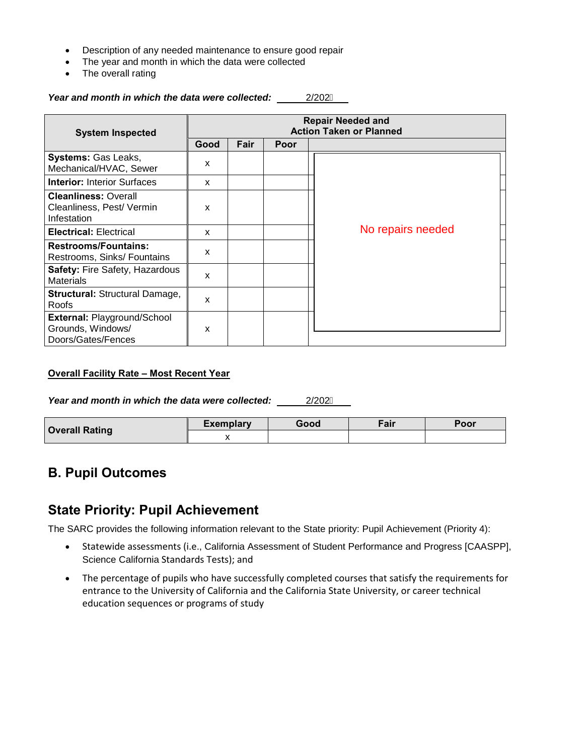- Description of any needed maintenance to ensure good repair
- The year and month in which the data were collected
- The overall rating

### *Year and month in which the data were collected:* 2/202F

| <b>System Inspected</b>                                                       | <b>Repair Needed and</b><br><b>Action Taken or Planned</b> |      |      |                   |  |
|-------------------------------------------------------------------------------|------------------------------------------------------------|------|------|-------------------|--|
|                                                                               | Good                                                       | Fair | Poor |                   |  |
| <b>Systems: Gas Leaks,</b><br>Mechanical/HVAC, Sewer                          | $\boldsymbol{\mathsf{x}}$                                  |      |      |                   |  |
| <b>Interior: Interior Surfaces</b>                                            | X                                                          |      |      |                   |  |
| <b>Cleanliness: Overall</b><br>Cleanliness, Pest/ Vermin<br>Infestation       | X                                                          |      |      |                   |  |
| <b>Electrical: Electrical</b>                                                 | X                                                          |      |      | No repairs needed |  |
| <b>Restrooms/Fountains:</b><br>Restrooms, Sinks/ Fountains                    | x                                                          |      |      |                   |  |
| <b>Safety: Fire Safety, Hazardous</b><br><b>Materials</b>                     | $\boldsymbol{\mathsf{x}}$                                  |      |      |                   |  |
| <b>Structural: Structural Damage,</b><br>Roofs                                | X                                                          |      |      |                   |  |
| <b>External: Playground/School</b><br>Grounds, Windows/<br>Doors/Gates/Fences | X                                                          |      |      |                   |  |

### **Overall Facility Rate – Most Recent Year**

*Year and month in which the data were collected:* 2/202F

| <b>Overall Rating</b> | <b>Exemplary</b> | Good | Fair | Poor |
|-----------------------|------------------|------|------|------|
|                       |                  |      |      |      |

### **B. Pupil Outcomes**

### **State Priority: Pupil Achievement**

The SARC provides the following information relevant to the State priority: Pupil Achievement (Priority 4):

- Statewide assessments (i.e., California Assessment of Student Performance and Progress [CAASPP], Science California Standards Tests); and
- The percentage of pupils who have successfully completed courses that satisfy the requirements for entrance to the University of California and the California State University, or career technical education sequences or programs of study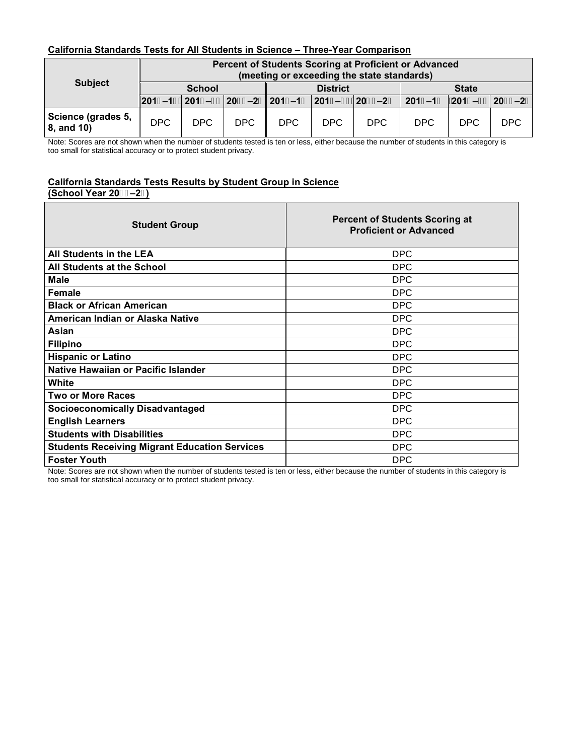### **California Standards Tests for All Students in Science – Three-Year Comparison**

|                                  | Percent of Students Scoring at Proficient or Advanced<br>(meeting or exceeding the state standards) |      |      |                 |      |      |                                                                                            |      |     |
|----------------------------------|-----------------------------------------------------------------------------------------------------|------|------|-----------------|------|------|--------------------------------------------------------------------------------------------|------|-----|
| <b>Subject</b>                   | <b>School</b>                                                                                       |      |      | <b>District</b> |      |      | <b>State</b>                                                                               |      |     |
|                                  |                                                                                                     |      |      |                 |      |      | 201, -1-  201- -&\$ 20&\$-2%  201, -1-  201- -&\$ 20&\$-2%   201, -1-  201- -&\$  20&\$-2% |      |     |
| Science (grades 5,<br>8, and 10) | DPC.                                                                                                | DPC. | DPC. | DPC.            | DPC. | DPC. | <b>DPC</b>                                                                                 | DPC. | DPC |

Note: Scores are not shown when the number of students tested is ten or less, either because the number of students in this category is too small for statistical accuracy or to protect student privacy.

#### **California Standards Tests Results by Student Group in Science (School Year 20–2)**

| <b>Student Group</b>                                 | <b>Percent of Students Scoring at</b><br><b>Proficient or Advanced</b> |
|------------------------------------------------------|------------------------------------------------------------------------|
| All Students in the LEA                              | <b>DPC</b>                                                             |
| All Students at the School                           | <b>DPC</b>                                                             |
| Male                                                 | <b>DPC</b>                                                             |
| <b>Female</b>                                        | <b>DPC</b>                                                             |
| <b>Black or African American</b>                     | <b>DPC</b>                                                             |
| American Indian or Alaska Native                     | <b>DPC</b>                                                             |
| Asian                                                | <b>DPC</b>                                                             |
| <b>Filipino</b>                                      | <b>DPC</b>                                                             |
| <b>Hispanic or Latino</b>                            | <b>DPC</b>                                                             |
| Native Hawaiian or Pacific Islander                  | <b>DPC</b>                                                             |
| White                                                | <b>DPC</b>                                                             |
| <b>Two or More Races</b>                             | <b>DPC</b>                                                             |
| <b>Socioeconomically Disadvantaged</b>               | <b>DPC</b>                                                             |
| <b>English Learners</b>                              | <b>DPC</b>                                                             |
| <b>Students with Disabilities</b>                    | <b>DPC</b>                                                             |
| <b>Students Receiving Migrant Education Services</b> | <b>DPC</b>                                                             |
| <b>Foster Youth</b>                                  | <b>DPC</b>                                                             |

Note: Scores are not shown when the number of students tested is ten or less, either because the number of students in this category is too small for statistical accuracy or to protect student privacy.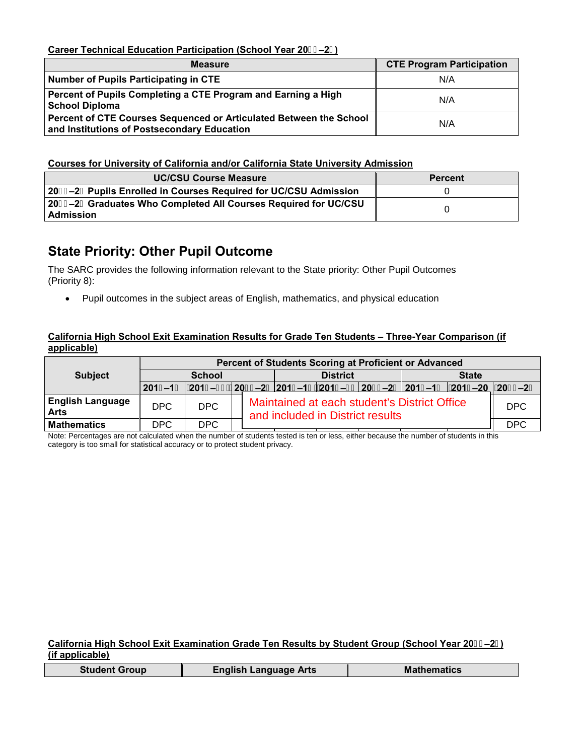**Career Technical Education Participation (School Year 20–2)**

| <b>Measure</b>                                                                                                    | <b>CTE Program Participation</b> |
|-------------------------------------------------------------------------------------------------------------------|----------------------------------|
| Number of Pupils Participating in CTE                                                                             | N/A                              |
| Percent of Pupils Completing a CTE Program and Earning a High<br><b>School Diploma</b>                            | N/A                              |
| Percent of CTE Courses Sequenced or Articulated Between the School<br>and Institutions of Postsecondary Education | N/A                              |

### **Courses for University of California and/or California State University Admission**

| <b>UC/CSU Course Measure</b>                                                        | <b>Percent</b> |
|-------------------------------------------------------------------------------------|----------------|
| 20&\$–2%Pupils Enrolled in Courses Required for UC/CSU Admission                    |                |
| 20&\$–2%Graduates Who Completed All Courses Required for UC/CSU<br><b>Admission</b> |                |

### **State Priority: Other Pupil Outcome**

The SARC provides the following information relevant to the State priority: Other Pupil Outcomes (Priority 8):

• Pupil outcomes in the subject areas of English, mathematics, and physical education

### **California High School Exit Examination Results for Grade Ten Students – Three-Year Comparison (if applicable)**

|                                        | Percent of Students Scoring at Proficient or Advanced |            |  |                                                                                  |                 |  |              |  |                                                                                                                    |  |  |
|----------------------------------------|-------------------------------------------------------|------------|--|----------------------------------------------------------------------------------|-----------------|--|--------------|--|--------------------------------------------------------------------------------------------------------------------|--|--|
| <b>Subject</b>                         | <b>School</b>                                         |            |  |                                                                                  | <b>District</b> |  | <b>State</b> |  |                                                                                                                    |  |  |
|                                        |                                                       |            |  |                                                                                  |                 |  |              |  | <u>  201, -1-     201- -8\$   208\$-2%   201. -1-    201- -8\$   208\$-2%   201. -1-     201- -20   208\$-2%  </u> |  |  |
| <b>English Language</b><br><b>Arts</b> | DPC                                                   | DPC        |  | Maintained at each student's District Office<br>and included in District results |                 |  |              |  |                                                                                                                    |  |  |
| <b>Mathematics</b>                     | DPC.                                                  | <b>DPC</b> |  |                                                                                  |                 |  |              |  | <b>DPC</b>                                                                                                         |  |  |

Note: Percentages are not calculated when the number of students tested is ten or less, either because the number of students in this category is too small for statistical accuracy or to protect student privacy.

### **California High School Exit Examination Grade Ten Results by Student Group (School Year 20–2) (if applicable)**

|  | <b>Student Group</b> | <b>English Language Arts</b> | <b>Mathematics</b> |
|--|----------------------|------------------------------|--------------------|
|--|----------------------|------------------------------|--------------------|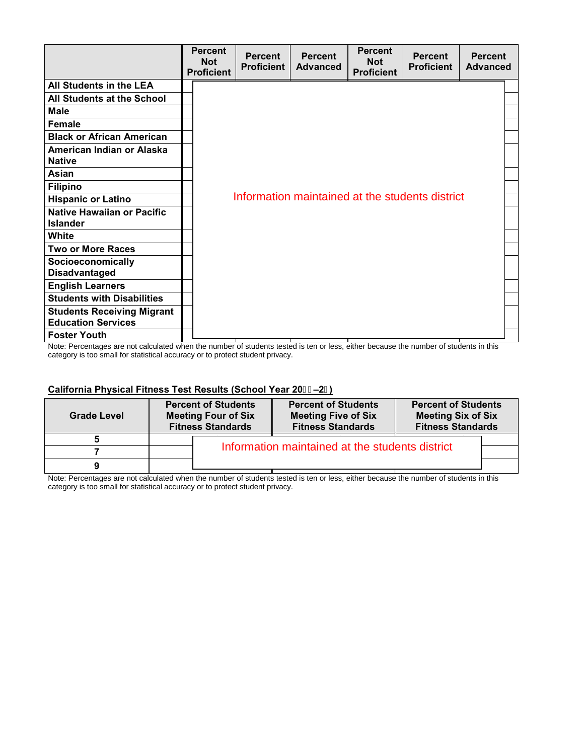|                                                                | <b>Percent</b><br><b>Not</b><br><b>Proficient</b> | <b>Percent</b><br><b>Proficient</b> | <b>Percent</b><br><b>Advanced</b> | <b>Percent</b><br><b>Not</b><br><b>Proficient</b> | <b>Percent</b><br><b>Proficient</b>             | <b>Percent</b><br><b>Advanced</b> |
|----------------------------------------------------------------|---------------------------------------------------|-------------------------------------|-----------------------------------|---------------------------------------------------|-------------------------------------------------|-----------------------------------|
| All Students in the LEA                                        |                                                   |                                     |                                   |                                                   |                                                 |                                   |
| All Students at the School                                     |                                                   |                                     |                                   |                                                   |                                                 |                                   |
| <b>Male</b>                                                    |                                                   |                                     |                                   |                                                   |                                                 |                                   |
| <b>Female</b>                                                  |                                                   |                                     |                                   |                                                   |                                                 |                                   |
| <b>Black or African American</b>                               |                                                   |                                     |                                   |                                                   |                                                 |                                   |
| American Indian or Alaska<br><b>Native</b>                     |                                                   |                                     |                                   |                                                   |                                                 |                                   |
| Asian                                                          |                                                   |                                     |                                   |                                                   |                                                 |                                   |
| <b>Filipino</b>                                                |                                                   |                                     |                                   |                                                   |                                                 |                                   |
| <b>Hispanic or Latino</b>                                      |                                                   |                                     |                                   |                                                   | Information maintained at the students district |                                   |
| <b>Native Hawaiian or Pacific</b><br><b>Islander</b>           |                                                   |                                     |                                   |                                                   |                                                 |                                   |
| White                                                          |                                                   |                                     |                                   |                                                   |                                                 |                                   |
| <b>Two or More Races</b>                                       |                                                   |                                     |                                   |                                                   |                                                 |                                   |
| <b>Socioeconomically</b><br><b>Disadvantaged</b>               |                                                   |                                     |                                   |                                                   |                                                 |                                   |
| <b>English Learners</b>                                        |                                                   |                                     |                                   |                                                   |                                                 |                                   |
| <b>Students with Disabilities</b>                              |                                                   |                                     |                                   |                                                   |                                                 |                                   |
| <b>Students Receiving Migrant</b><br><b>Education Services</b> |                                                   |                                     |                                   |                                                   |                                                 |                                   |
| <b>Foster Youth</b>                                            |                                                   |                                     |                                   |                                                   |                                                 |                                   |

Note: Percentages are not calculated when the number of students tested is ten or less, either because the number of students in this category is too small for statistical accuracy or to protect student privacy.

### **California Physical Fitness Test Results (School Year 20–2)**

| <b>Grade Level</b> | <b>Percent of Students</b><br><b>Meeting Four of Six</b><br><b>Fitness Standards</b> | <b>Percent of Students</b><br><b>Meeting Five of Six</b><br><b>Fitness Standards</b> | <b>Percent of Students</b><br><b>Meeting Six of Six</b><br><b>Fitness Standards</b> |  |  |  |  |  |  |
|--------------------|--------------------------------------------------------------------------------------|--------------------------------------------------------------------------------------|-------------------------------------------------------------------------------------|--|--|--|--|--|--|
|                    |                                                                                      |                                                                                      |                                                                                     |  |  |  |  |  |  |
|                    |                                                                                      | Information maintained at the students district                                      |                                                                                     |  |  |  |  |  |  |
|                    |                                                                                      |                                                                                      |                                                                                     |  |  |  |  |  |  |

Note: Percentages are not calculated when the number of students tested is ten or less, either because the number of students in this category is too small for statistical accuracy or to protect student privacy.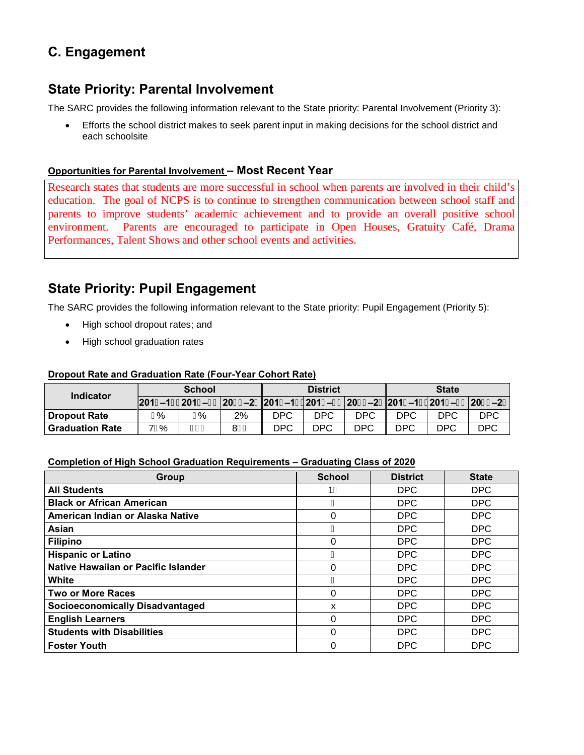# **C. Engagement**

### **State Priority: Parental Involvement**

The SARC provides the following information relevant to the State priority: Parental Involvement (Priority 3):

• Efforts the school district makes to seek parent input in making decisions for the school district and each schoolsite

### **Opportunities for Parental Involvement – Most Recent Year**

Research states that students are more successful in school when parents are involved in their child's education. The goal of NCPS is to continue to strengthen communication between school staff and parents to improve students' academic achievement and to provide an overall positive school environment. Parents are encouraged to participate in Open Houses, Gratuity Café, Drama Performances, Talent Shows and other school events and activities.

### **State Priority: Pupil Engagement**

The SARC provides the following information relevant to the State priority: Pupil Engagement (Priority 5):

- High school dropout rates; and
- High school graduation rates

### **Dropout Rate and Graduation Rate (Four-Year Cohort Rate)**

| <b>Indicator</b>  |      | <b>School</b> |                                                                                                                                       |     | <b>District</b> |            | <b>State</b> |            |            |  |
|-------------------|------|---------------|---------------------------------------------------------------------------------------------------------------------------------------|-----|-----------------|------------|--------------|------------|------------|--|
|                   |      |               | $\left 201,-1\right 201-8\$ $\left 208\right 202\$ $-2\%$ $201,-1\left 201-8\right 208\$ $-2\%$ $201,-1\left 201-8\right 208\$ $-2\%$ |     |                 |            |              |            |            |  |
| l Dropout Rate    | ⊏%   | G%            | 2%                                                                                                                                    | DPC | DPC             | DPC        | DPC          | DPC        | <b>DPC</b> |  |
| l Graduation Rate | 71 % | GÃ            | 8€Ã                                                                                                                                   | DPC | <b>DPC</b>      | <b>DPC</b> | DPC          | <b>DPC</b> | <b>DPC</b> |  |

### **Completion of High School Graduation Requirements – Graduating Class of 2020**

| <b>Group</b>                           | <b>School</b> | <b>District</b> | <b>State</b> |
|----------------------------------------|---------------|-----------------|--------------|
| <b>All Students</b>                    | 1F            | <b>DPC</b>      | <b>DPC</b>   |
| <b>Black or African American</b>       | G             | <b>DPC</b>      | <b>DPC</b>   |
| American Indian or Alaska Native       | 0             | <b>DPC</b>      | <b>DPC</b>   |
| Asian                                  | €             | <b>DPC</b>      | <b>DPC</b>   |
| <b>Filipino</b>                        | 0             | <b>DPC</b>      | <b>DPC</b>   |
| <b>Hispanic or Latino</b>              | н             | <b>DPC</b>      | <b>DPC</b>   |
| Native Hawaiian or Pacific Islander    | 0             | <b>DPC</b>      | <b>DPC</b>   |
| White                                  |               | <b>DPC</b>      | <b>DPC</b>   |
| <b>Two or More Races</b>               | 0             | <b>DPC</b>      | <b>DPC</b>   |
| <b>Socioeconomically Disadvantaged</b> | x             | <b>DPC</b>      | <b>DPC</b>   |
| <b>English Learners</b>                | 0             | <b>DPC</b>      | <b>DPC</b>   |
| <b>Students with Disabilities</b>      | 0             | <b>DPC</b>      | <b>DPC</b>   |
| <b>Foster Youth</b>                    | 0             | <b>DPC</b>      | <b>DPC</b>   |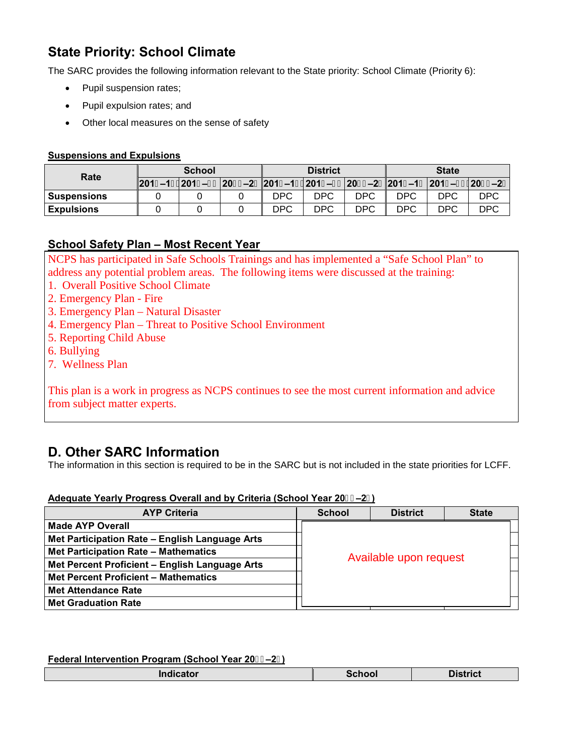# **State Priority: School Climate**

The SARC provides the following information relevant to the State priority: School Climate (Priority 6):

- Pupil suspension rates;
- Pupil expulsion rates; and
- Other local measures on the sense of safety

### **Suspensions and Expulsions**

| Rate              | <b>School</b> |                                                                                           |     | <b>District</b> |            | <b>State</b> |     |            |  |
|-------------------|---------------|-------------------------------------------------------------------------------------------|-----|-----------------|------------|--------------|-----|------------|--|
|                   |               | 201, -1-  201- -8\$  208\$-2% 201, -1-  201- -8\$  208\$-2% 201, -1-  201- -8\$  208\$-2% |     |                 |            |              |     |            |  |
| l Suspensions     |               |                                                                                           | DPC | DPC             | <b>DPC</b> | DPC          | DPC | DPC        |  |
| <b>Expulsions</b> |               |                                                                                           | DPC | <b>DPC</b>      | <b>DPC</b> | DPC          | DPC | <b>DPC</b> |  |

### **School Safety Plan – Most Recent Year**

NCPS has participated in Safe Schools Trainings and has implemented a "Safe School Plan" to address any potential problem areas. The following items were discussed at the training:

- 1. Overall Positive School Climate
- 2. Emergency Plan Fire
- 3. Emergency Plan Natural Disaster
- 4. Emergency Plan Threat to Positive School Environment
- 5. Reporting Child Abuse
- 6. Bullying
- 7. Wellness Plan

This plan is a work in progress as NCPS continues to see the most current information and advice from subject matter experts.

### **D. Other SARC Information**

The information in this section is required to be in the SARC but is not included in the state priorities for LCFF.

### **Adequate Yearly Progress Overall and by Criteria (School Year 20–2)**

| <b>AYP Criteria</b>                            | <b>School</b>          | <b>District</b> | <b>State</b> |  |  |  |
|------------------------------------------------|------------------------|-----------------|--------------|--|--|--|
| <b>Made AYP Overall</b>                        |                        |                 |              |  |  |  |
| Met Participation Rate - English Language Arts |                        |                 |              |  |  |  |
| Met Participation Rate - Mathematics           | Available upon request |                 |              |  |  |  |
| Met Percent Proficient - English Language Arts |                        |                 |              |  |  |  |
| <b>Met Percent Proficient - Mathematics</b>    |                        |                 |              |  |  |  |
| <b>Met Attendance Rate</b>                     |                        |                 |              |  |  |  |
| <b>Met Graduation Rate</b>                     |                        |                 |              |  |  |  |

#### **Federal Intervention Program (School Year 20–2)**

| Indicator<br><b>District</b><br>School |
|----------------------------------------|
|----------------------------------------|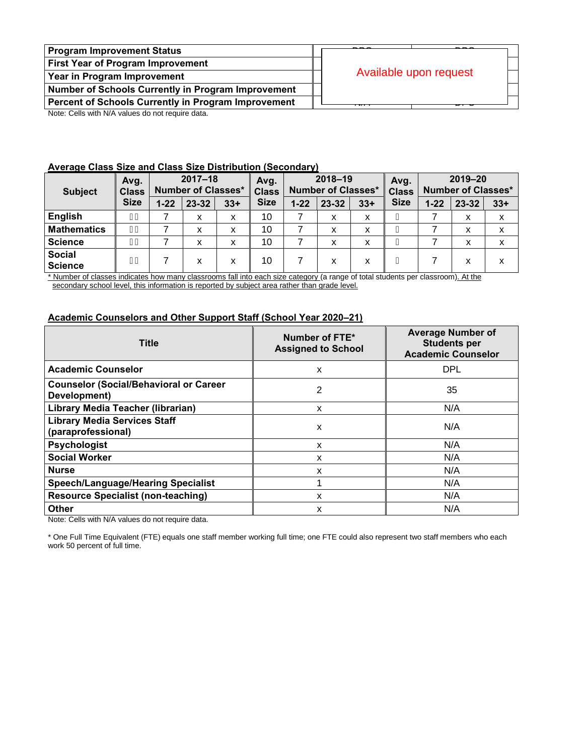| <b>Program Improvement Status</b>                          |                        |  |  |  |
|------------------------------------------------------------|------------------------|--|--|--|
| First Year of Program Improvement                          | Available upon request |  |  |  |
| Year in Program Improvement                                |                        |  |  |  |
| <b>Number of Schools Currently in Program Improvement</b>  |                        |  |  |  |
| <b>Percent of Schools Currently in Program Improvement</b> |                        |  |  |  |

Note: Cells with N/A values do not require data.

### **Average Class Size and Class Size Distribution (Secondary)**

| Avg.<br><b>Class</b><br><b>Subject</b> |             |          | $2017 - 18$<br><b>Number of Classes*</b> |       | Avg.<br><b>Class</b> |          | $2018 - 19$<br><b>Number of Classes*</b> |       | Avg.<br><b>Class</b> | 2019-20<br><b>Number of Classes*</b> |       |       |
|----------------------------------------|-------------|----------|------------------------------------------|-------|----------------------|----------|------------------------------------------|-------|----------------------|--------------------------------------|-------|-------|
|                                        | <b>Size</b> | $1 - 22$ | 23-32                                    | $33+$ | <b>Size</b>          | $1 - 22$ | $23 - 32$                                | $33+$ | <b>Size</b>          | $1 - 22$                             | 23-32 | $33+$ |
| <b>English</b>                         | F€          |          | x                                        | x     | 10                   |          | x                                        | х     |                      |                                      | x     | x     |
| <b>Mathematics</b>                     | F€          |          | X                                        | x     | 10                   |          | X                                        | x     |                      |                                      | x     | x     |
| <b>Science</b>                         | F€          |          | X                                        | x     | 10                   |          | x                                        | x     |                      |                                      | x     | x     |
| <b>Social</b><br><b>Science</b>        | F€          |          | x                                        | x     | 10                   |          | x                                        | x     |                      |                                      | x     | x     |

\* Number of classes indicates how many classrooms fall into each size category (a range of total students per classroom). At the secondary school level, this information is reported by subject area rather than grade level.

### **Academic Counselors and Other Support Staff (School Year 2020–21)**

| <b>Title</b>                                                  | Number of FTE*<br><b>Assigned to School</b> | <b>Average Number of</b><br><b>Students per</b><br><b>Academic Counselor</b> |
|---------------------------------------------------------------|---------------------------------------------|------------------------------------------------------------------------------|
| <b>Academic Counselor</b>                                     | X                                           | <b>DPL</b>                                                                   |
| <b>Counselor (Social/Behavioral or Career</b><br>Development) | 2                                           | 35                                                                           |
| Library Media Teacher (librarian)                             | x                                           | N/A                                                                          |
| <b>Library Media Services Staff</b><br>(paraprofessional)     | x                                           | N/A                                                                          |
| <b>Psychologist</b>                                           | X                                           | N/A                                                                          |
| <b>Social Worker</b>                                          | X                                           | N/A                                                                          |
| <b>Nurse</b>                                                  | X                                           | N/A                                                                          |
| <b>Speech/Language/Hearing Specialist</b>                     |                                             | N/A                                                                          |
| <b>Resource Specialist (non-teaching)</b>                     | x                                           | N/A                                                                          |
| <b>Other</b>                                                  | x                                           | N/A                                                                          |

Note: Cells with N/A values do not require data.

\* One Full Time Equivalent (FTE) equals one staff member working full time; one FTE could also represent two staff members who each work 50 percent of full time.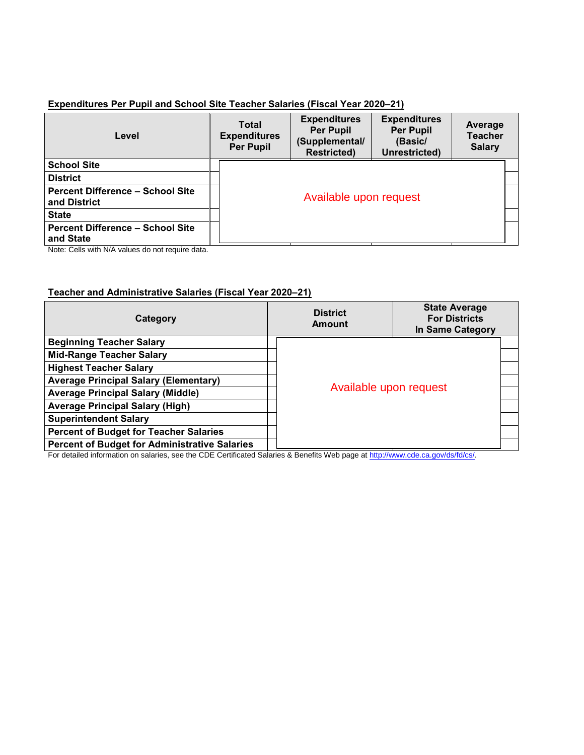### **Expenditures Per Pupil and School Site Teacher Salaries (Fiscal Year 2020–21)**

| Level                                                   | <b>Total</b><br><b>Expenditures</b><br><b>Per Pupil</b> | <b>Expenditures</b><br><b>Per Pupil</b><br>(Supplemental/<br><b>Restricted)</b> | <b>Expenditures</b><br><b>Per Pupil</b><br>(Basic/<br>Unrestricted) | Average<br><b>Teacher</b><br><b>Salary</b> |
|---------------------------------------------------------|---------------------------------------------------------|---------------------------------------------------------------------------------|---------------------------------------------------------------------|--------------------------------------------|
| <b>School Site</b>                                      |                                                         |                                                                                 |                                                                     |                                            |
| <b>District</b>                                         |                                                         |                                                                                 |                                                                     |                                            |
| <b>Percent Difference - School Site</b><br>and District | Available upon request                                  |                                                                                 |                                                                     |                                            |
| <b>State</b>                                            |                                                         |                                                                                 |                                                                     |                                            |
| <b>Percent Difference - School Site</b><br>and State    |                                                         |                                                                                 |                                                                     |                                            |

Note: Cells with N/A values do not require data.

### **Teacher and Administrative Salaries (Fiscal Year 2020–21)**

| Category                                             | <b>District</b><br>Amount | <b>State Average</b><br><b>For Districts</b><br>In Same Category |  |
|------------------------------------------------------|---------------------------|------------------------------------------------------------------|--|
| <b>Beginning Teacher Salary</b>                      |                           |                                                                  |  |
| <b>Mid-Range Teacher Salary</b>                      |                           |                                                                  |  |
| <b>Highest Teacher Salary</b>                        |                           |                                                                  |  |
| <b>Average Principal Salary (Elementary)</b>         | Available upon request    |                                                                  |  |
| <b>Average Principal Salary (Middle)</b>             |                           |                                                                  |  |
| <b>Average Principal Salary (High)</b>               |                           |                                                                  |  |
| <b>Superintendent Salary</b>                         |                           |                                                                  |  |
| <b>Percent of Budget for Teacher Salaries</b>        |                           |                                                                  |  |
| <b>Percent of Budget for Administrative Salaries</b> |                           |                                                                  |  |

For detailed information on salaries, see the CDE Certificated Salaries & Benefits Web page a[t http://www.cde.ca.gov/ds/fd/cs/.](http://www.cde.ca.gov/ds/fd/cs/)